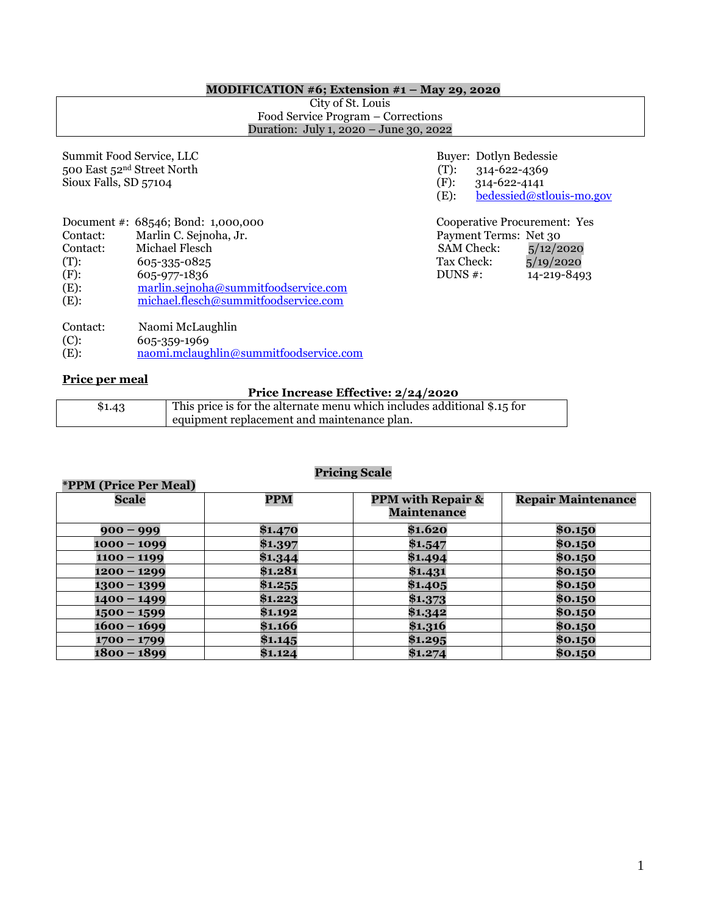#### **MODIFICATION #6; Extension #1 – May 29, 2020**

City of St. Louis Food Service Program – Corrections Duration: July 1, 2020 – June 30, 2022

| Summit Food Service, LLC<br>500 East 52 <sup>nd</sup> Street North<br>Sioux Falls, SD 57104 |                                                                                                                                                                                                | $(T)$ :<br>(F):<br>(E):                       | Buyer: Dotlyn Bedessie<br>314-622-4369<br>314-622-4141 | bedessied@stlouis-m                                                |
|---------------------------------------------------------------------------------------------|------------------------------------------------------------------------------------------------------------------------------------------------------------------------------------------------|-----------------------------------------------|--------------------------------------------------------|--------------------------------------------------------------------|
| Contact:<br>Contact:<br>$(T)$ :<br>(F):<br>$(E)$ :<br>$(E)$ :                               | Document #: 68546; Bond: 1,000,000<br>Marlin C. Sejnoha, Jr.<br>Michael Flesch<br>605-335-0825<br>605-977-1836<br>marlin.sejnoha@summitfoodservice.com<br>michael.flesch@summitfoodservice.com | <b>SAM Check:</b><br>Tax Check:<br>DUNS $#$ : | Payment Terms: Net 30                                  | Cooperative Procurement: Y<br>5/12/2020<br>5/19/2020<br>14-219-849 |

(T):  $314-622-4369$ <br>(F):  $314-622-4141$  $314 - 622 - 4141$ (E):  $\underline{\text{bedessied}\text{@stlouis-mo.gov}}$ 

Cooperative Procurement: Yes Payment Terms: Net  $30$ <br>SAM Check:  $\frac{5}{12/2}$  $DUNS #: 14-219-8493$ 

| Contact: | Naomi McLaughlin |
|----------|------------------|
| $(C)$ :  | 605-359-1969     |

**\*PPM (Price Per Meal)** 

(E): [naomi.mclaughlin@summitfoodservice.com](mailto:naomi.mclaughlin@summitfoodservice.com)

#### **Price per meal**

#### **Price Increase Effective: 2/24/2020**

| \$1.43 | This price is for the alternate menu which includes additional \$.15 for |
|--------|--------------------------------------------------------------------------|
|        | equipment replacement and maintenance plan.                              |
|        |                                                                          |

# **Pricing Scale**

| TTM (TTRET ET Medi) |            |                                                    |                           |
|---------------------|------------|----------------------------------------------------|---------------------------|
| <b>Scale</b>        | <b>PPM</b> | <b>PPM with Repair &amp;</b><br><b>Maintenance</b> | <b>Repair Maintenance</b> |
| $900 - 999$         | \$1.470    | \$1.620                                            | \$0.150                   |
| $1000 - 1099$       | \$1.397    | \$1.547                                            | \$0.150                   |
| $1100 - 1199$       | \$1.344    | \$1.494                                            | \$0.150                   |
| $1200 - 1299$       | \$1.281    | \$1.431                                            | \$0.150                   |
| $1300 - 1399$       | \$1.255    | \$1.405                                            | \$0.150                   |
| $1400 - 1499$       | \$1.223    | \$1.373                                            | \$0.150                   |
| $1500 - 1599$       | \$1.192    | \$1.342                                            | \$0.150                   |
| 1600 – 1699         | \$1.166    | \$1.316                                            | \$0.150                   |
| $1700 - 1799$       | \$1.145    | \$1.295                                            | \$0.150                   |
| 1800 – 1899         | \$1.124    | \$1.274                                            | \$0.150                   |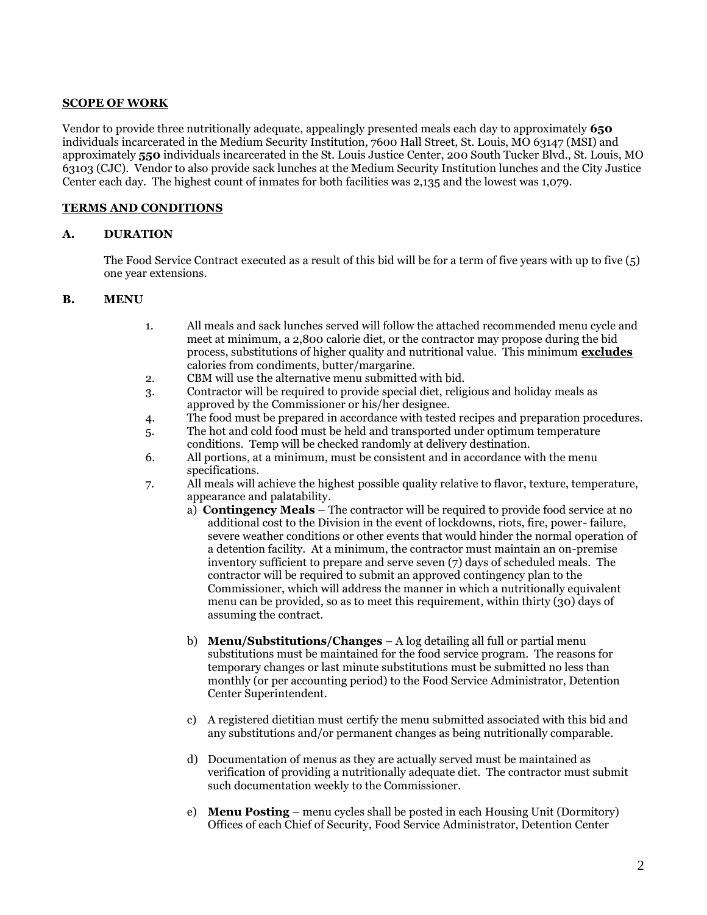### **SCOPE OF WORK**

Vendor to provide three nutritionally adequate, appealingly presented meals each day to approximately **650** individuals incarcerated in the Medium Security Institution, 7600 Hall Street, St. Louis, MO 63147 (MSI) and approximately **550** individuals incarcerated in the St. Louis Justice Center, 200 South Tucker Blvd., St. Louis, MO 63103 (CJC). Vendor to also provide sack lunches at the Medium Security Institution lunches and the City Justice Center each day. The highest count of inmates for both facilities was 2,135 and the lowest was 1,079.

### **TERMS AND CONDITIONS**

### **A. DURATION**

The Food Service Contract executed as a result of this bid will be for a term of five years with up to five (5) one year extensions.

### **B. MENU**

- 1. All meals and sack lunches served will follow the attached recommended menu cycle and meet at minimum, a 2,800 calorie diet, or the contractor may propose during the bid process, substitutions of higher quality and nutritional value. This minimum **excludes** calories from condiments, butter/margarine.
- 2. CBM will use the alternative menu submitted with bid.
- 3. Contractor will be required to provide special diet, religious and holiday meals as approved by the Commissioner or his/her designee.
- 4. The food must be prepared in accordance with tested recipes and preparation procedures.
- 5. The hot and cold food must be held and transported under optimum temperature conditions. Temp will be checked randomly at delivery destination.
- 6. All portions, at a minimum, must be consistent and in accordance with the menu specifications.
- 7. All meals will achieve the highest possible quality relative to flavor, texture, temperature, appearance and palatability.
	- a) **Contingency Meals** The contractor will be required to provide food service at no additional cost to the Division in the event of lockdowns, riots, fire, power- failure, severe weather conditions or other events that would hinder the normal operation of a detention facility. At a minimum, the contractor must maintain an on-premise inventory sufficient to prepare and serve seven (7) days of scheduled meals. The contractor will be required to submit an approved contingency plan to the Commissioner, which will address the manner in which a nutritionally equivalent menu can be provided, so as to meet this requirement, within thirty (30) days of assuming the contract.
	- b) **Menu/Substitutions/Changes** A log detailing all full or partial menu substitutions must be maintained for the food service program. The reasons for temporary changes or last minute substitutions must be submitted no less than monthly (or per accounting period) to the Food Service Administrator, Detention Center Superintendent.
	- c) A registered dietitian must certify the menu submitted associated with this bid and any substitutions and/or permanent changes as being nutritionally comparable.
	- d) Documentation of menus as they are actually served must be maintained as verification of providing a nutritionally adequate diet. The contractor must submit such documentation weekly to the Commissioner.
	- e) **Menu Posting** menu cycles shall be posted in each Housing Unit (Dormitory) Offices of each Chief of Security, Food Service Administrator, Detention Center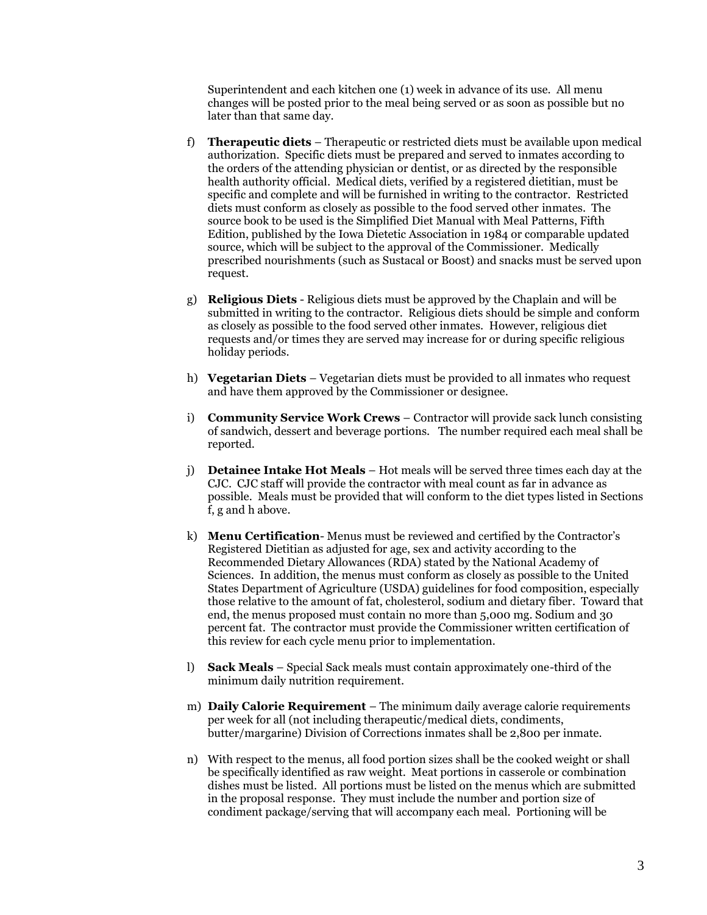Superintendent and each kitchen one (1) week in advance of its use. All menu changes will be posted prior to the meal being served or as soon as possible but no later than that same day.

- f) **Therapeutic diets** Therapeutic or restricted diets must be available upon medical authorization. Specific diets must be prepared and served to inmates according to the orders of the attending physician or dentist, or as directed by the responsible health authority official. Medical diets, verified by a registered dietitian, must be specific and complete and will be furnished in writing to the contractor. Restricted diets must conform as closely as possible to the food served other inmates. The source book to be used is the Simplified Diet Manual with Meal Patterns, Fifth Edition, published by the Iowa Dietetic Association in 1984 or comparable updated source, which will be subject to the approval of the Commissioner. Medically prescribed nourishments (such as Sustacal or Boost) and snacks must be served upon request.
- g) **Religious Diets** Religious diets must be approved by the Chaplain and will be submitted in writing to the contractor. Religious diets should be simple and conform as closely as possible to the food served other inmates. However, religious diet requests and/or times they are served may increase for or during specific religious holiday periods.
- h) **Vegetarian Diets** Vegetarian diets must be provided to all inmates who request and have them approved by the Commissioner or designee.
- i) **Community Service Work Crews** Contractor will provide sack lunch consisting of sandwich, dessert and beverage portions. The number required each meal shall be reported.
- j) **Detainee Intake Hot Meals** Hot meals will be served three times each day at the CJC. CJC staff will provide the contractor with meal count as far in advance as possible. Meals must be provided that will conform to the diet types listed in Sections f, g and h above.
- k) **Menu Certification** Menus must be reviewed and certified by the Contractor's Registered Dietitian as adjusted for age, sex and activity according to the Recommended Dietary Allowances (RDA) stated by the National Academy of Sciences. In addition, the menus must conform as closely as possible to the United States Department of Agriculture (USDA) guidelines for food composition, especially those relative to the amount of fat, cholesterol, sodium and dietary fiber. Toward that end, the menus proposed must contain no more than 5,000 mg. Sodium and 30 percent fat. The contractor must provide the Commissioner written certification of this review for each cycle menu prior to implementation.
- l) **Sack Meals** Special Sack meals must contain approximately one-third of the minimum daily nutrition requirement.
- m) **Daily Calorie Requirement** The minimum daily average calorie requirements per week for all (not including therapeutic/medical diets, condiments, butter/margarine) Division of Corrections inmates shall be 2,800 per inmate.
- n) With respect to the menus, all food portion sizes shall be the cooked weight or shall be specifically identified as raw weight. Meat portions in casserole or combination dishes must be listed. All portions must be listed on the menus which are submitted in the proposal response. They must include the number and portion size of condiment package/serving that will accompany each meal. Portioning will be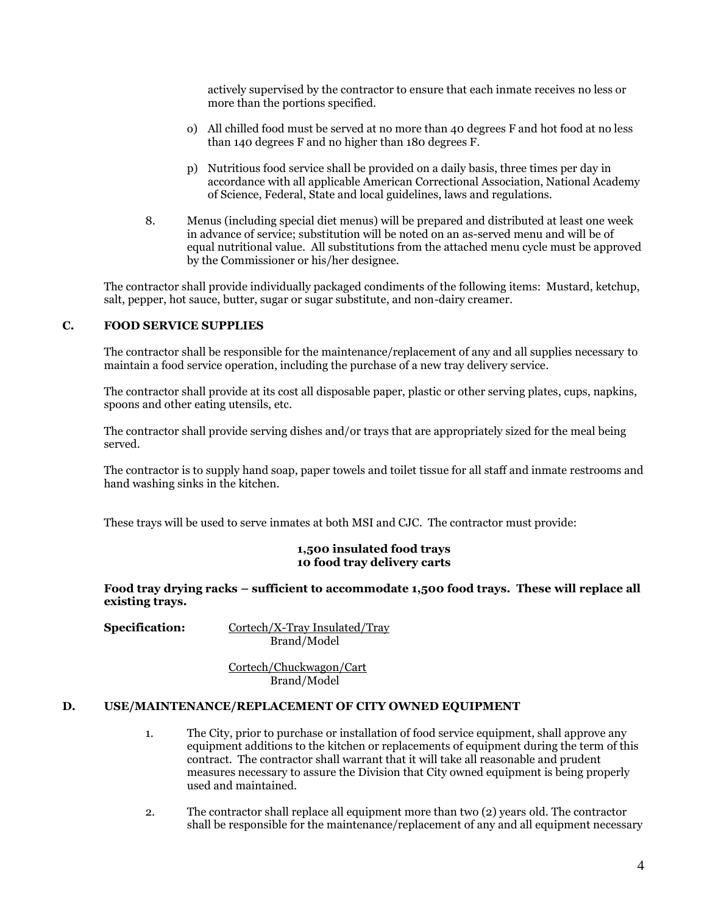actively supervised by the contractor to ensure that each inmate receives no less or more than the portions specified.

- o) All chilled food must be served at no more than 40 degrees F and hot food at no less than 140 degrees F and no higher than 180 degrees F.
- p) Nutritious food service shall be provided on a daily basis, three times per day in accordance with all applicable American Correctional Association, National Academy of Science, Federal, State and local guidelines, laws and regulations.
- 8. Menus (including special diet menus) will be prepared and distributed at least one week in advance of service; substitution will be noted on an as-served menu and will be of equal nutritional value. All substitutions from the attached menu cycle must be approved by the Commissioner or his/her designee.

The contractor shall provide individually packaged condiments of the following items: Mustard, ketchup, salt, pepper, hot sauce, butter, sugar or sugar substitute, and non-dairy creamer.

### **C. FOOD SERVICE SUPPLIES**

The contractor shall be responsible for the maintenance/replacement of any and all supplies necessary to maintain a food service operation, including the purchase of a new tray delivery service.

The contractor shall provide at its cost all disposable paper, plastic or other serving plates, cups, napkins, spoons and other eating utensils, etc.

The contractor shall provide serving dishes and/or trays that are appropriately sized for the meal being served.

The contractor is to supply hand soap, paper towels and toilet tissue for all staff and inmate restrooms and hand washing sinks in the kitchen.

These trays will be used to serve inmates at both MSI and CJC. The contractor must provide:

### **1,500 insulated food trays 10 food tray delivery carts**

**Food tray drying racks – sufficient to accommodate 1,500 food trays. These will replace all existing trays.**

**Specification:** Cortech/X-Tray Insulated/Tray Brand/Model

> Cortech/Chuckwagon/Cart Brand/Model

#### **D. USE/MAINTENANCE/REPLACEMENT OF CITY OWNED EQUIPMENT**

- 1. The City, prior to purchase or installation of food service equipment, shall approve any equipment additions to the kitchen or replacements of equipment during the term of this contract. The contractor shall warrant that it will take all reasonable and prudent measures necessary to assure the Division that City owned equipment is being properly used and maintained.
- 2. The contractor shall replace all equipment more than two (2) years old. The contractor shall be responsible for the maintenance/replacement of any and all equipment necessary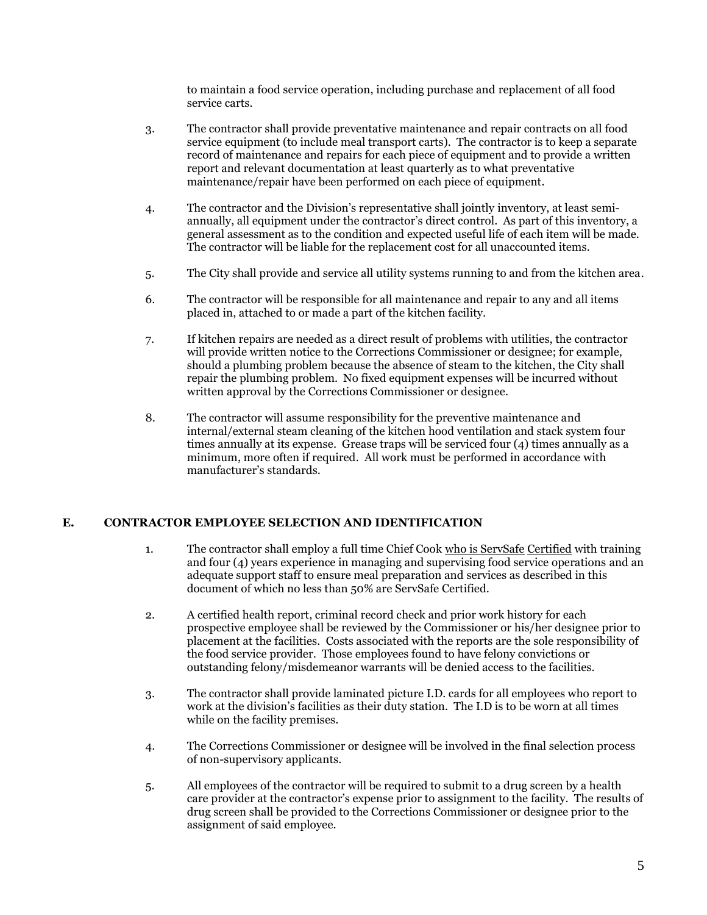to maintain a food service operation, including purchase and replacement of all food service carts.

- 3. The contractor shall provide preventative maintenance and repair contracts on all food service equipment (to include meal transport carts). The contractor is to keep a separate record of maintenance and repairs for each piece of equipment and to provide a written report and relevant documentation at least quarterly as to what preventative maintenance/repair have been performed on each piece of equipment.
- 4. The contractor and the Division's representative shall jointly inventory, at least semiannually, all equipment under the contractor's direct control. As part of this inventory, a general assessment as to the condition and expected useful life of each item will be made. The contractor will be liable for the replacement cost for all unaccounted items.
- 5. The City shall provide and service all utility systems running to and from the kitchen area.
- 6. The contractor will be responsible for all maintenance and repair to any and all items placed in, attached to or made a part of the kitchen facility.
- 7. If kitchen repairs are needed as a direct result of problems with utilities, the contractor will provide written notice to the Corrections Commissioner or designee; for example, should a plumbing problem because the absence of steam to the kitchen, the City shall repair the plumbing problem. No fixed equipment expenses will be incurred without written approval by the Corrections Commissioner or designee.
- 8. The contractor will assume responsibility for the preventive maintenance and internal/external steam cleaning of the kitchen hood ventilation and stack system four times annually at its expense. Grease traps will be serviced four (4) times annually as a minimum, more often if required. All work must be performed in accordance with manufacturer's standards.

# **E. CONTRACTOR EMPLOYEE SELECTION AND IDENTIFICATION**

- 1. The contractor shall employ a full time Chief Cook who is ServSafe Certified with training and four (4) years experience in managing and supervising food service operations and an adequate support staff to ensure meal preparation and services as described in this document of which no less than 50% are ServSafe Certified.
- 2. A certified health report, criminal record check and prior work history for each prospective employee shall be reviewed by the Commissioner or his/her designee prior to placement at the facilities. Costs associated with the reports are the sole responsibility of the food service provider. Those employees found to have felony convictions or outstanding felony/misdemeanor warrants will be denied access to the facilities.
- 3. The contractor shall provide laminated picture I.D. cards for all employees who report to work at the division's facilities as their duty station. The I.D is to be worn at all times while on the facility premises.
- 4. The Corrections Commissioner or designee will be involved in the final selection process of non-supervisory applicants.
- 5. All employees of the contractor will be required to submit to a drug screen by a health care provider at the contractor's expense prior to assignment to the facility. The results of drug screen shall be provided to the Corrections Commissioner or designee prior to the assignment of said employee.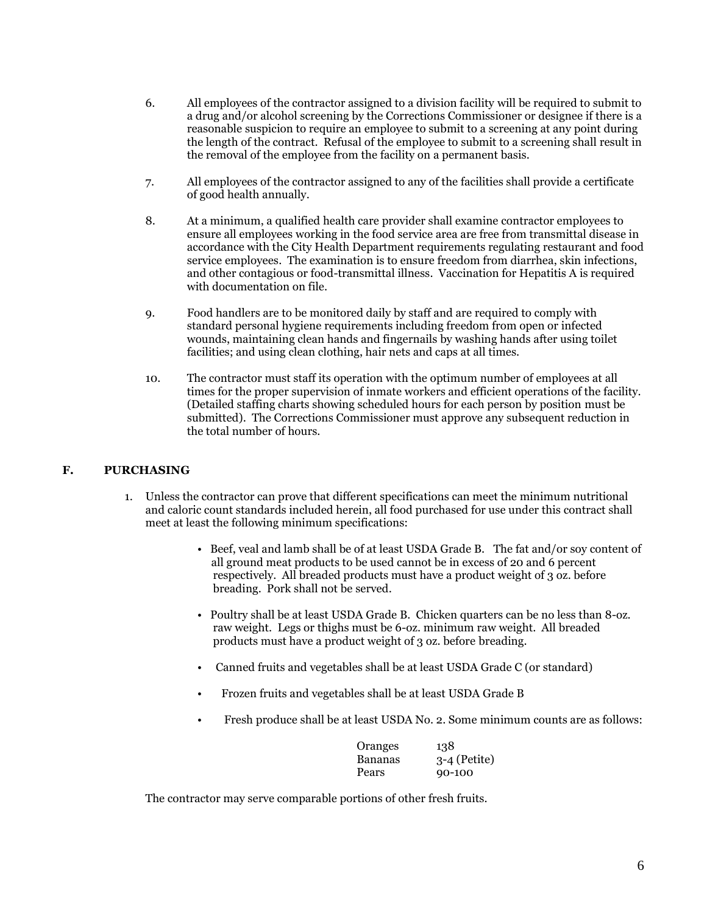- 6. All employees of the contractor assigned to a division facility will be required to submit to a drug and/or alcohol screening by the Corrections Commissioner or designee if there is a reasonable suspicion to require an employee to submit to a screening at any point during the length of the contract. Refusal of the employee to submit to a screening shall result in the removal of the employee from the facility on a permanent basis.
- 7. All employees of the contractor assigned to any of the facilities shall provide a certificate of good health annually.
- 8. At a minimum, a qualified health care provider shall examine contractor employees to ensure all employees working in the food service area are free from transmittal disease in accordance with the City Health Department requirements regulating restaurant and food service employees. The examination is to ensure freedom from diarrhea, skin infections, and other contagious or food-transmittal illness. Vaccination for Hepatitis A is required with documentation on file.
- 9. Food handlers are to be monitored daily by staff and are required to comply with standard personal hygiene requirements including freedom from open or infected wounds, maintaining clean hands and fingernails by washing hands after using toilet facilities; and using clean clothing, hair nets and caps at all times.
- 10. The contractor must staff its operation with the optimum number of employees at all times for the proper supervision of inmate workers and efficient operations of the facility. (Detailed staffing charts showing scheduled hours for each person by position must be submitted). The Corrections Commissioner must approve any subsequent reduction in the total number of hours.

# **F. PURCHASING**

- 1. Unless the contractor can prove that different specifications can meet the minimum nutritional and caloric count standards included herein, all food purchased for use under this contract shall meet at least the following minimum specifications:
	- Beef, veal and lamb shall be of at least USDA Grade B. The fat and/or soy content of all ground meat products to be used cannot be in excess of 20 and 6 percent respectively. All breaded products must have a product weight of 3 oz. before breading. Pork shall not be served.
	- Poultry shall be at least USDA Grade B. Chicken quarters can be no less than 8-oz. raw weight. Legs or thighs must be 6-oz. minimum raw weight. All breaded products must have a product weight of 3 oz. before breading.
	- Canned fruits and vegetables shall be at least USDA Grade C (or standard)
	- Frozen fruits and vegetables shall be at least USDA Grade B
	- Fresh produce shall be at least USDA No. 2. Some minimum counts are as follows:

| Oranges | 138            |
|---------|----------------|
| Bananas | $3-4$ (Petite) |
| Pears   | 90-100         |

The contractor may serve comparable portions of other fresh fruits.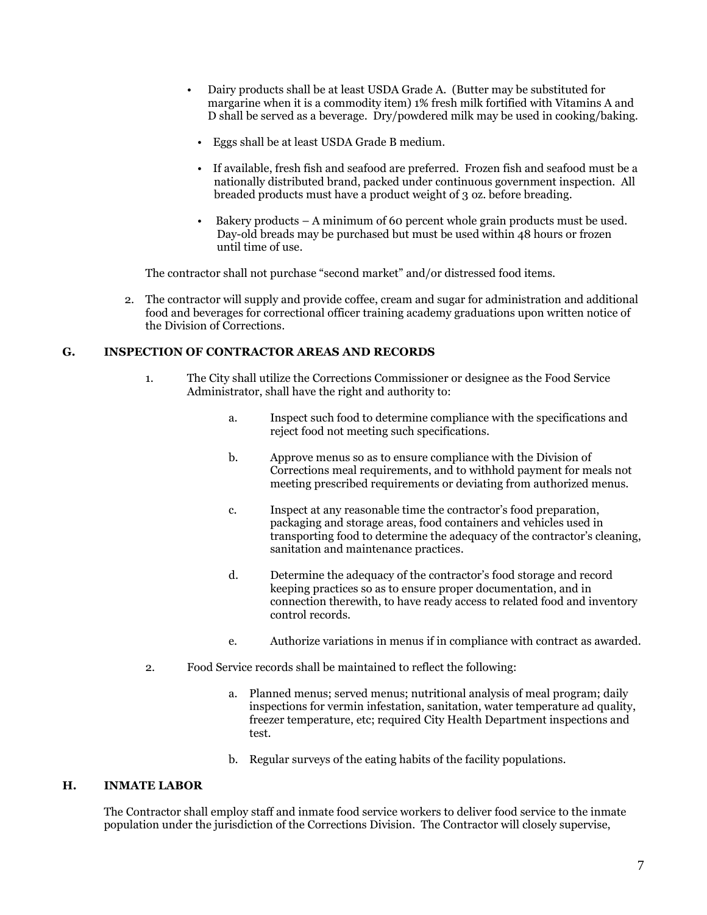- Dairy products shall be at least USDA Grade A. (Butter may be substituted for margarine when it is a commodity item) 1% fresh milk fortified with Vitamins A and D shall be served as a beverage. Dry/powdered milk may be used in cooking/baking.
	- Eggs shall be at least USDA Grade B medium.
	- If available, fresh fish and seafood are preferred. Frozen fish and seafood must be a nationally distributed brand, packed under continuous government inspection. All breaded products must have a product weight of 3 oz. before breading.
	- Bakery products A minimum of 60 percent whole grain products must be used. Day-old breads may be purchased but must be used within 48 hours or frozen until time of use.

The contractor shall not purchase "second market" and/or distressed food items.

2. The contractor will supply and provide coffee, cream and sugar for administration and additional food and beverages for correctional officer training academy graduations upon written notice of the Division of Corrections.

### **G. INSPECTION OF CONTRACTOR AREAS AND RECORDS**

- 1. The City shall utilize the Corrections Commissioner or designee as the Food Service Administrator, shall have the right and authority to:
	- a. Inspect such food to determine compliance with the specifications and reject food not meeting such specifications.
	- b. Approve menus so as to ensure compliance with the Division of Corrections meal requirements, and to withhold payment for meals not meeting prescribed requirements or deviating from authorized menus.
	- c. Inspect at any reasonable time the contractor's food preparation, packaging and storage areas, food containers and vehicles used in transporting food to determine the adequacy of the contractor's cleaning, sanitation and maintenance practices.
	- d. Determine the adequacy of the contractor's food storage and record keeping practices so as to ensure proper documentation, and in connection therewith, to have ready access to related food and inventory control records.
	- e. Authorize variations in menus if in compliance with contract as awarded.
- 2. Food Service records shall be maintained to reflect the following:
	- a. Planned menus; served menus; nutritional analysis of meal program; daily inspections for vermin infestation, sanitation, water temperature ad quality, freezer temperature, etc; required City Health Department inspections and test.
	- b. Regular surveys of the eating habits of the facility populations.

# **H. INMATE LABOR**

The Contractor shall employ staff and inmate food service workers to deliver food service to the inmate population under the jurisdiction of the Corrections Division. The Contractor will closely supervise,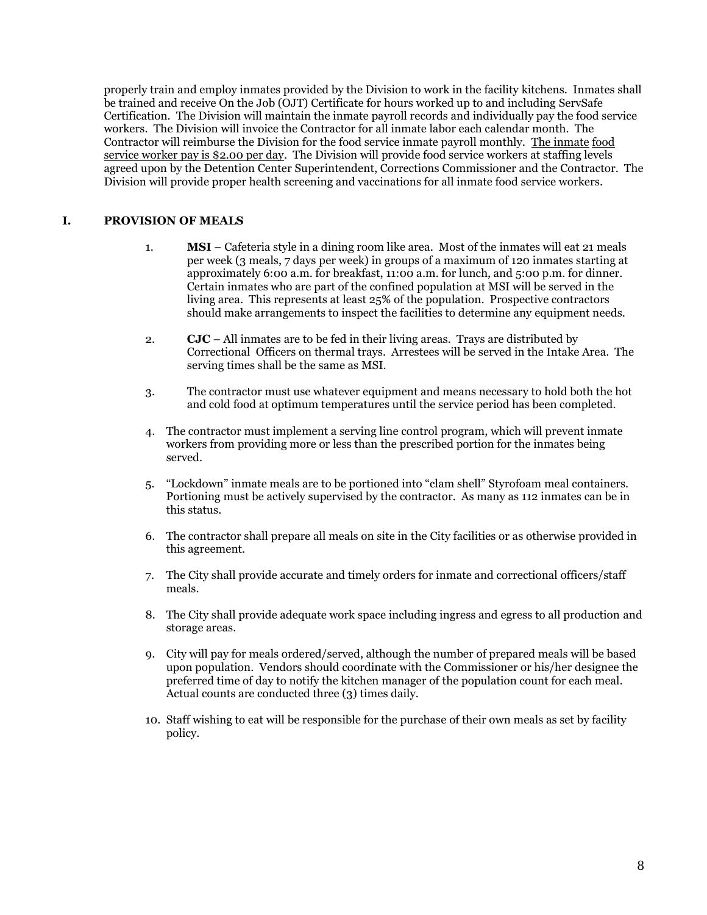properly train and employ inmates provided by the Division to work in the facility kitchens. Inmates shall be trained and receive On the Job (OJT) Certificate for hours worked up to and including ServSafe Certification. The Division will maintain the inmate payroll records and individually pay the food service workers. The Division will invoice the Contractor for all inmate labor each calendar month. The Contractor will reimburse the Division for the food service inmate payroll monthly. The inmate food service worker pay is \$2.00 per day. The Division will provide food service workers at staffing levels agreed upon by the Detention Center Superintendent, Corrections Commissioner and the Contractor. The Division will provide proper health screening and vaccinations for all inmate food service workers.

# **I. PROVISION OF MEALS**

- 1. **MSI** Cafeteria style in a dining room like area. Most of the inmates will eat 21 meals per week (3 meals, 7 days per week) in groups of a maximum of 120 inmates starting at approximately 6:00 a.m. for breakfast, 11:00 a.m. for lunch, and 5:00 p.m. for dinner. Certain inmates who are part of the confined population at MSI will be served in the living area. This represents at least 25% of the population. Prospective contractors should make arrangements to inspect the facilities to determine any equipment needs.
- 2. **CJC** All inmates are to be fed in their living areas. Trays are distributed by Correctional Officers on thermal trays. Arrestees will be served in the Intake Area. The serving times shall be the same as MSI.
- 3. The contractor must use whatever equipment and means necessary to hold both the hot and cold food at optimum temperatures until the service period has been completed.
- 4. The contractor must implement a serving line control program, which will prevent inmate workers from providing more or less than the prescribed portion for the inmates being served.
- 5. "Lockdown" inmate meals are to be portioned into "clam shell" Styrofoam meal containers. Portioning must be actively supervised by the contractor. As many as 112 inmates can be in this status.
- 6. The contractor shall prepare all meals on site in the City facilities or as otherwise provided in this agreement.
- 7. The City shall provide accurate and timely orders for inmate and correctional officers/staff meals.
- 8. The City shall provide adequate work space including ingress and egress to all production and storage areas.
- 9. City will pay for meals ordered/served, although the number of prepared meals will be based upon population. Vendors should coordinate with the Commissioner or his/her designee the preferred time of day to notify the kitchen manager of the population count for each meal. Actual counts are conducted three (3) times daily.
- 10. Staff wishing to eat will be responsible for the purchase of their own meals as set by facility policy.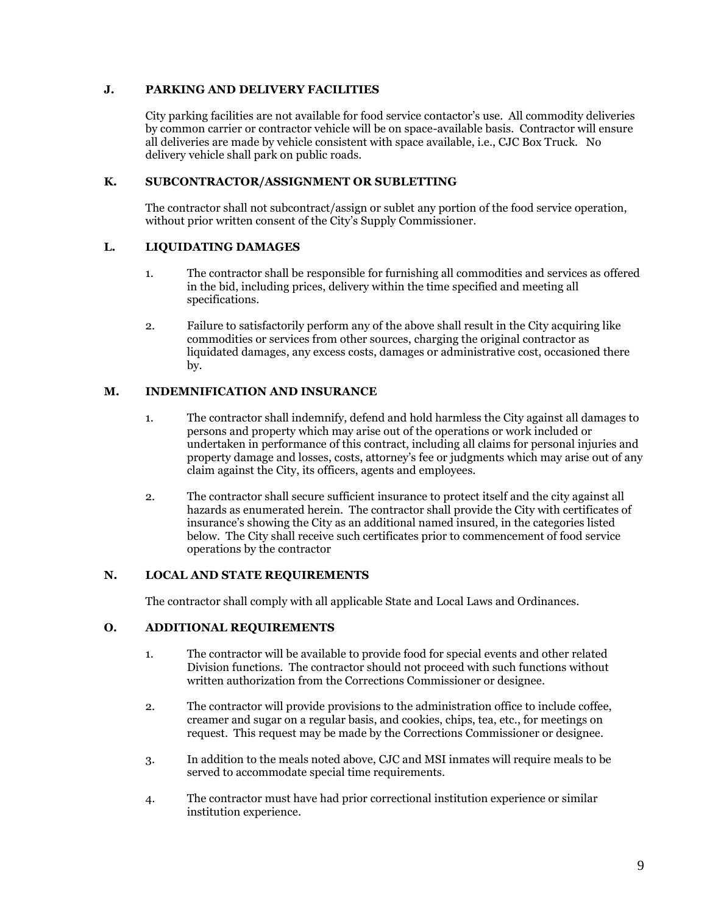# **J. PARKING AND DELIVERY FACILITIES**

City parking facilities are not available for food service contactor's use. All commodity deliveries by common carrier or contractor vehicle will be on space-available basis. Contractor will ensure all deliveries are made by vehicle consistent with space available, i.e., CJC Box Truck. No delivery vehicle shall park on public roads.

# **K. SUBCONTRACTOR/ASSIGNMENT OR SUBLETTING**

The contractor shall not subcontract/assign or sublet any portion of the food service operation, without prior written consent of the City's Supply Commissioner.

# **L. LIQUIDATING DAMAGES**

- 1. The contractor shall be responsible for furnishing all commodities and services as offered in the bid, including prices, delivery within the time specified and meeting all specifications.
- 2. Failure to satisfactorily perform any of the above shall result in the City acquiring like commodities or services from other sources, charging the original contractor as liquidated damages, any excess costs, damages or administrative cost, occasioned there by.

# **M. INDEMNIFICATION AND INSURANCE**

- 1. The contractor shall indemnify, defend and hold harmless the City against all damages to persons and property which may arise out of the operations or work included or undertaken in performance of this contract, including all claims for personal injuries and property damage and losses, costs, attorney's fee or judgments which may arise out of any claim against the City, its officers, agents and employees.
- 2. The contractor shall secure sufficient insurance to protect itself and the city against all hazards as enumerated herein. The contractor shall provide the City with certificates of insurance's showing the City as an additional named insured, in the categories listed below. The City shall receive such certificates prior to commencement of food service operations by the contractor

# **N. LOCAL AND STATE REQUIREMENTS**

The contractor shall comply with all applicable State and Local Laws and Ordinances.

# **O. ADDITIONAL REQUIREMENTS**

- 1. The contractor will be available to provide food for special events and other related Division functions. The contractor should not proceed with such functions without written authorization from the Corrections Commissioner or designee.
- 2. The contractor will provide provisions to the administration office to include coffee, creamer and sugar on a regular basis, and cookies, chips, tea, etc., for meetings on request. This request may be made by the Corrections Commissioner or designee.
- 3. In addition to the meals noted above, CJC and MSI inmates will require meals to be served to accommodate special time requirements.
- 4. The contractor must have had prior correctional institution experience or similar institution experience.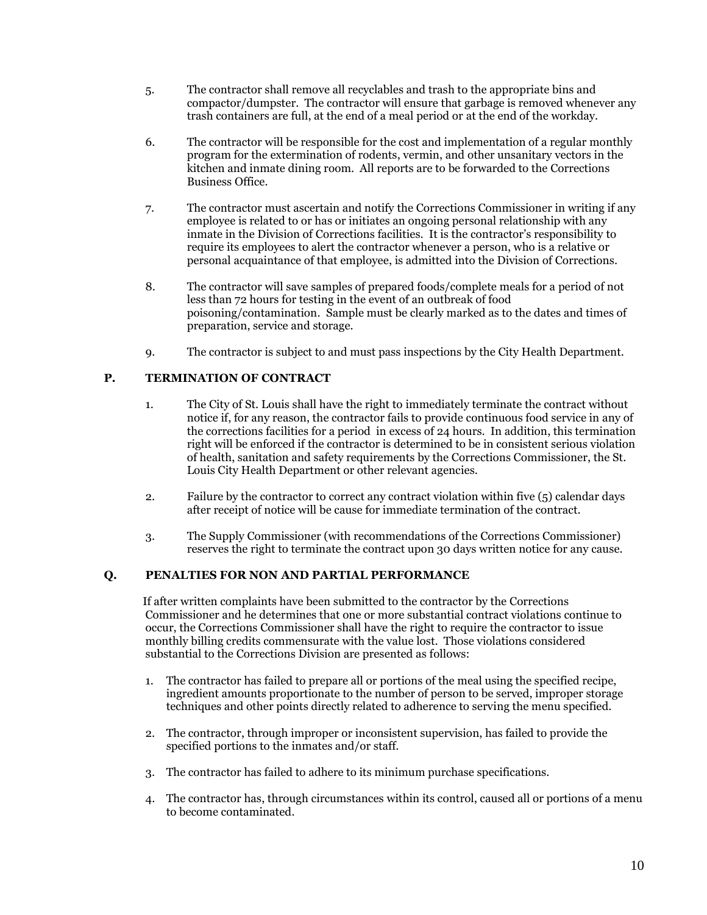- 5. The contractor shall remove all recyclables and trash to the appropriate bins and compactor/dumpster. The contractor will ensure that garbage is removed whenever any trash containers are full, at the end of a meal period or at the end of the workday.
- 6. The contractor will be responsible for the cost and implementation of a regular monthly program for the extermination of rodents, vermin, and other unsanitary vectors in the kitchen and inmate dining room. All reports are to be forwarded to the Corrections Business Office.
- 7. The contractor must ascertain and notify the Corrections Commissioner in writing if any employee is related to or has or initiates an ongoing personal relationship with any inmate in the Division of Corrections facilities. It is the contractor's responsibility to require its employees to alert the contractor whenever a person, who is a relative or personal acquaintance of that employee, is admitted into the Division of Corrections.
- 8. The contractor will save samples of prepared foods/complete meals for a period of not less than 72 hours for testing in the event of an outbreak of food poisoning/contamination. Sample must be clearly marked as to the dates and times of preparation, service and storage.
- 9. The contractor is subject to and must pass inspections by the City Health Department.

# **P. TERMINATION OF CONTRACT**

- 1. The City of St. Louis shall have the right to immediately terminate the contract without notice if, for any reason, the contractor fails to provide continuous food service in any of the corrections facilities for a period in excess of 24 hours. In addition, this termination right will be enforced if the contractor is determined to be in consistent serious violation of health, sanitation and safety requirements by the Corrections Commissioner, the St. Louis City Health Department or other relevant agencies.
- 2. Failure by the contractor to correct any contract violation within five (5) calendar days after receipt of notice will be cause for immediate termination of the contract.
- 3. The Supply Commissioner (with recommendations of the Corrections Commissioner) reserves the right to terminate the contract upon 30 days written notice for any cause.

#### **Q. PENALTIES FOR NON AND PARTIAL PERFORMANCE**

 If after written complaints have been submitted to the contractor by the Corrections Commissioner and he determines that one or more substantial contract violations continue to occur, the Corrections Commissioner shall have the right to require the contractor to issue monthly billing credits commensurate with the value lost. Those violations considered substantial to the Corrections Division are presented as follows:

- 1. The contractor has failed to prepare all or portions of the meal using the specified recipe, ingredient amounts proportionate to the number of person to be served, improper storage techniques and other points directly related to adherence to serving the menu specified.
- 2. The contractor, through improper or inconsistent supervision, has failed to provide the specified portions to the inmates and/or staff.
- 3. The contractor has failed to adhere to its minimum purchase specifications.
- 4. The contractor has, through circumstances within its control, caused all or portions of a menu to become contaminated.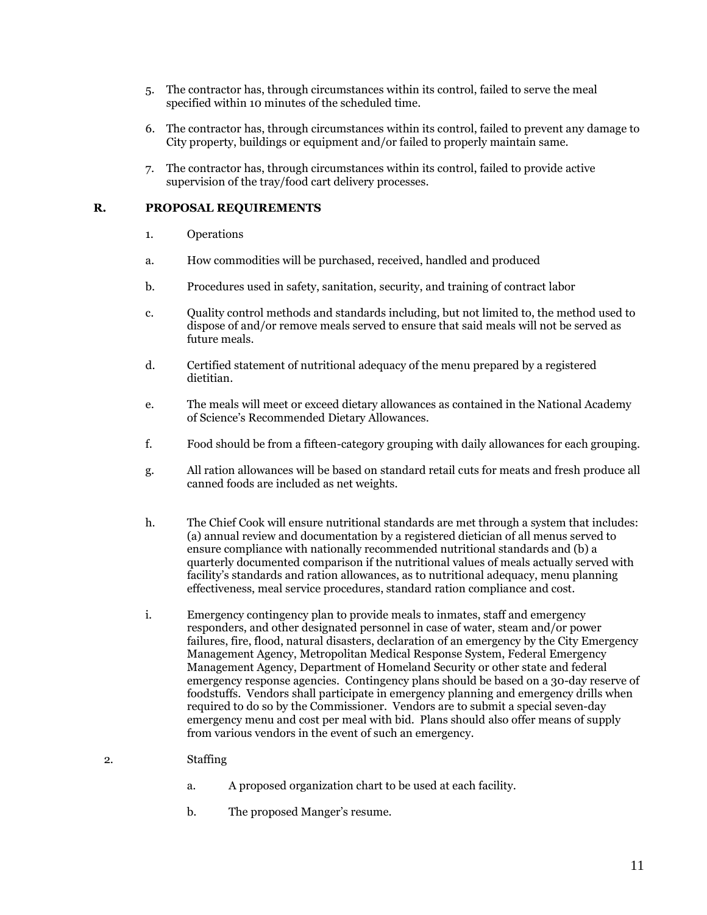- 5. The contractor has, through circumstances within its control, failed to serve the meal specified within 10 minutes of the scheduled time.
- 6. The contractor has, through circumstances within its control, failed to prevent any damage to City property, buildings or equipment and/or failed to properly maintain same.
- 7. The contractor has, through circumstances within its control, failed to provide active supervision of the tray/food cart delivery processes.

# **R. PROPOSAL REQUIREMENTS**

- 1. Operations
- a. How commodities will be purchased, received, handled and produced
- b. Procedures used in safety, sanitation, security, and training of contract labor
- c. Quality control methods and standards including, but not limited to, the method used to dispose of and/or remove meals served to ensure that said meals will not be served as future meals.
- d. Certified statement of nutritional adequacy of the menu prepared by a registered dietitian.
- e. The meals will meet or exceed dietary allowances as contained in the National Academy of Science's Recommended Dietary Allowances.
- f. Food should be from a fifteen-category grouping with daily allowances for each grouping.
- g. All ration allowances will be based on standard retail cuts for meats and fresh produce all canned foods are included as net weights.
- h. The Chief Cook will ensure nutritional standards are met through a system that includes: (a) annual review and documentation by a registered dietician of all menus served to ensure compliance with nationally recommended nutritional standards and (b) a quarterly documented comparison if the nutritional values of meals actually served with facility's standards and ration allowances, as to nutritional adequacy, menu planning effectiveness, meal service procedures, standard ration compliance and cost.
- i. Emergency contingency plan to provide meals to inmates, staff and emergency responders, and other designated personnel in case of water, steam and/or power failures, fire, flood, natural disasters, declaration of an emergency by the City Emergency Management Agency, Metropolitan Medical Response System, Federal Emergency Management Agency, Department of Homeland Security or other state and federal emergency response agencies. Contingency plans should be based on a 30-day reserve of foodstuffs. Vendors shall participate in emergency planning and emergency drills when required to do so by the Commissioner. Vendors are to submit a special seven-day emergency menu and cost per meal with bid. Plans should also offer means of supply from various vendors in the event of such an emergency.
- 2. Staffing
	- a. A proposed organization chart to be used at each facility.
	- b. The proposed Manger's resume.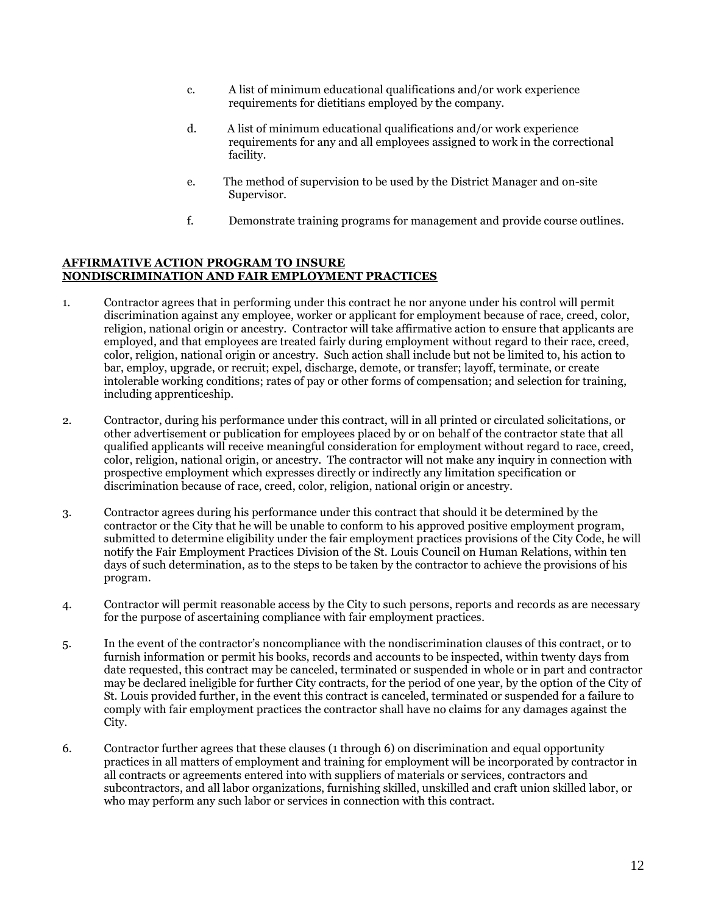- c. A list of minimum educational qualifications and/or work experience requirements for dietitians employed by the company.
- d. A list of minimum educational qualifications and/or work experience requirements for any and all employees assigned to work in the correctional facility.
- e. The method of supervision to be used by the District Manager and on-site Supervisor.
- f. Demonstrate training programs for management and provide course outlines.

#### **AFFIRMATIVE ACTION PROGRAM TO INSURE NONDISCRIMINATION AND FAIR EMPLOYMENT PRACTICES**

- 1. Contractor agrees that in performing under this contract he nor anyone under his control will permit discrimination against any employee, worker or applicant for employment because of race, creed, color, religion, national origin or ancestry. Contractor will take affirmative action to ensure that applicants are employed, and that employees are treated fairly during employment without regard to their race, creed, color, religion, national origin or ancestry. Such action shall include but not be limited to, his action to bar, employ, upgrade, or recruit; expel, discharge, demote, or transfer; layoff, terminate, or create intolerable working conditions; rates of pay or other forms of compensation; and selection for training, including apprenticeship.
- 2. Contractor, during his performance under this contract, will in all printed or circulated solicitations, or other advertisement or publication for employees placed by or on behalf of the contractor state that all qualified applicants will receive meaningful consideration for employment without regard to race, creed, color, religion, national origin, or ancestry. The contractor will not make any inquiry in connection with prospective employment which expresses directly or indirectly any limitation specification or discrimination because of race, creed, color, religion, national origin or ancestry.
- 3. Contractor agrees during his performance under this contract that should it be determined by the contractor or the City that he will be unable to conform to his approved positive employment program, submitted to determine eligibility under the fair employment practices provisions of the City Code, he will notify the Fair Employment Practices Division of the St. Louis Council on Human Relations, within ten days of such determination, as to the steps to be taken by the contractor to achieve the provisions of his program.
- 4. Contractor will permit reasonable access by the City to such persons, reports and records as are necessary for the purpose of ascertaining compliance with fair employment practices.
- 5. In the event of the contractor's noncompliance with the nondiscrimination clauses of this contract, or to furnish information or permit his books, records and accounts to be inspected, within twenty days from date requested, this contract may be canceled, terminated or suspended in whole or in part and contractor may be declared ineligible for further City contracts, for the period of one year, by the option of the City of St. Louis provided further, in the event this contract is canceled, terminated or suspended for a failure to comply with fair employment practices the contractor shall have no claims for any damages against the City.
- 6. Contractor further agrees that these clauses (1 through 6) on discrimination and equal opportunity practices in all matters of employment and training for employment will be incorporated by contractor in all contracts or agreements entered into with suppliers of materials or services, contractors and subcontractors, and all labor organizations, furnishing skilled, unskilled and craft union skilled labor, or who may perform any such labor or services in connection with this contract.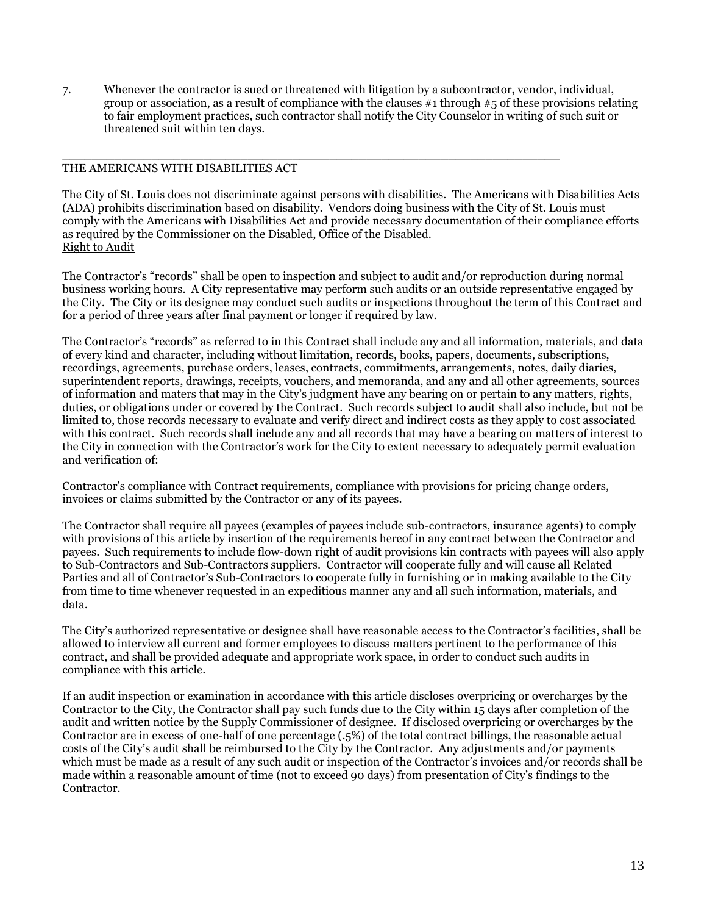7. Whenever the contractor is sued or threatened with litigation by a subcontractor, vendor, individual, group or association, as a result of compliance with the clauses  $#1$  through  $#5$  of these provisions relating to fair employment practices, such contractor shall notify the City Counselor in writing of such suit or threatened suit within ten days.

 $\Box$ 

### THE AMERICANS WITH DISABILITIES ACT

The City of St. Louis does not discriminate against persons with disabilities. The Americans with Disabilities Acts (ADA) prohibits discrimination based on disability. Vendors doing business with the City of St. Louis must comply with the Americans with Disabilities Act and provide necessary documentation of their compliance efforts as required by the Commissioner on the Disabled, Office of the Disabled. Right to Audit

The Contractor's "records" shall be open to inspection and subject to audit and/or reproduction during normal business working hours. A City representative may perform such audits or an outside representative engaged by the City. The City or its designee may conduct such audits or inspections throughout the term of this Contract and for a period of three years after final payment or longer if required by law.

The Contractor's "records" as referred to in this Contract shall include any and all information, materials, and data of every kind and character, including without limitation, records, books, papers, documents, subscriptions, recordings, agreements, purchase orders, leases, contracts, commitments, arrangements, notes, daily diaries, superintendent reports, drawings, receipts, vouchers, and memoranda, and any and all other agreements, sources of information and maters that may in the City's judgment have any bearing on or pertain to any matters, rights, duties, or obligations under or covered by the Contract. Such records subject to audit shall also include, but not be limited to, those records necessary to evaluate and verify direct and indirect costs as they apply to cost associated with this contract. Such records shall include any and all records that may have a bearing on matters of interest to the City in connection with the Contractor's work for the City to extent necessary to adequately permit evaluation and verification of:

Contractor's compliance with Contract requirements, compliance with provisions for pricing change orders, invoices or claims submitted by the Contractor or any of its payees.

The Contractor shall require all payees (examples of payees include sub-contractors, insurance agents) to comply with provisions of this article by insertion of the requirements hereof in any contract between the Contractor and payees. Such requirements to include flow-down right of audit provisions kin contracts with payees will also apply to Sub-Contractors and Sub-Contractors suppliers. Contractor will cooperate fully and will cause all Related Parties and all of Contractor's Sub-Contractors to cooperate fully in furnishing or in making available to the City from time to time whenever requested in an expeditious manner any and all such information, materials, and data.

The City's authorized representative or designee shall have reasonable access to the Contractor's facilities, shall be allowed to interview all current and former employees to discuss matters pertinent to the performance of this contract, and shall be provided adequate and appropriate work space, in order to conduct such audits in compliance with this article.

If an audit inspection or examination in accordance with this article discloses overpricing or overcharges by the Contractor to the City, the Contractor shall pay such funds due to the City within 15 days after completion of the audit and written notice by the Supply Commissioner of designee. If disclosed overpricing or overcharges by the Contractor are in excess of one-half of one percentage (.5%) of the total contract billings, the reasonable actual costs of the City's audit shall be reimbursed to the City by the Contractor. Any adjustments and/or payments which must be made as a result of any such audit or inspection of the Contractor's invoices and/or records shall be made within a reasonable amount of time (not to exceed 90 days) from presentation of City's findings to the Contractor.